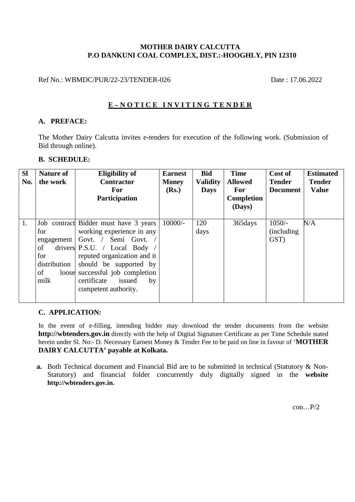#### **MOTHER DAIRY CALCUTTA P.O DANKUNI COAL COMPLEX, DIST.:-HOOGHLY, PIN 12310**

Ref No.: WBMDC/PUR/22-23/TENDER-026 Date : 17.06.2022

### **E – N O T I C E I N V I T I N G T E N D E R**

#### **A. PREFACE:**

The Mother Dairy Calcutta invites e-tenders for execution of the following work. (Submission of Bid through online).

#### **B. SCHEDULE:**

| <b>SI</b><br>No. | <b>Nature of</b><br>the work                                 | <b>Eligibility of</b><br><b>Contractor</b><br><b>For</b><br><b>Participation</b>                                                                                                                                                                                             | <b>Earnest</b><br><b>Money</b><br>(Rs.) | <b>Bid</b><br><b>Validity</b><br><b>Days</b> | <b>Time</b><br><b>Allowed</b><br>For<br><b>Completion</b><br>(Days) | Cost of<br><b>Tender</b><br><b>Document</b> | <b>Estimated</b><br><b>Tender</b><br><b>Value</b> |
|------------------|--------------------------------------------------------------|------------------------------------------------------------------------------------------------------------------------------------------------------------------------------------------------------------------------------------------------------------------------------|-----------------------------------------|----------------------------------------------|---------------------------------------------------------------------|---------------------------------------------|---------------------------------------------------|
| 1.               | for<br>engagement<br>of<br>for<br>distribution<br>οf<br>milk | Job contract Bidder must have 3 years<br>working experience in any<br>Govt. / Semi Govt.<br>drivers $P.S.U. / Local Body$<br>reputed organization and it<br>should be supported by<br>loose successful job completion<br>issued<br>certificate<br>by<br>competent authority. | $10000/-$                               | 120<br>days                                  | 365 days                                                            | $1050/-$<br>(including)<br>GST)             | N/A                                               |

#### **C. APPLICATION:**

In the event of e-filling, intending bidder may download the tender documents from the website **http://wbtenders.gov.in** directly with the help of Digital Signature Certificate as per Time Schedule stated herein under Sl. No:- D. Necessary Earnest Money & Tender Fee to be paid on line in favour of '**MOTHER DAIRY CALCUTTA' payable at Kolkata.**

**a.** Both Technical document and Financial Bid are to be submitted in technical (Statutory & Non-Statutory) and financial folder concurrently duly digitally signed in the **website http://wbtenders.gov.in.** 

 $con...P/2$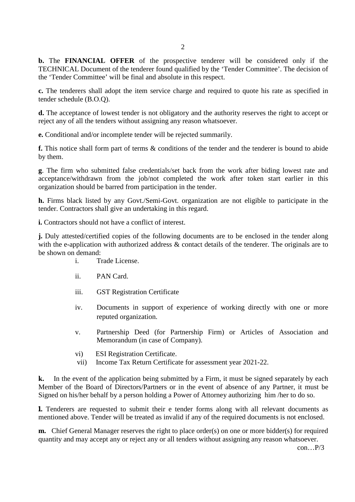**b.** The **FINANCIAL OFFER** of the prospective tenderer will be considered only if the TECHNICAL Document of the tenderer found qualified by the 'Tender Committee'. The decision of the 'Tender Committee' will be final and absolute in this respect.

**c.** The tenderers shall adopt the item service charge and required to quote his rate as specified in tender schedule (B.O.Q).

**d.** The acceptance of lowest tender is not obligatory and the authority reserves the right to accept or reject any of all the tenders without assigning any reason whatsoever.

**e.** Conditional and/or incomplete tender will be rejected summarily.

**f.** This notice shall form part of terms & conditions of the tender and the tenderer is bound to abide by them.

**g**. The firm who submitted false credentials/set back from the work after biding lowest rate and acceptance/withdrawn from the job/not completed the work after token start earlier in this organization should be barred from participation in the tender.

**h.** Firms black listed by any Govt./Semi-Govt. organization are not eligible to participate in the tender. Contractors shall give an undertaking in this regard.

**i.** Contractors should not have a conflict of interest.

**j.** Duly attested/certified copies of the following documents are to be enclosed in the tender along with the e-application with authorized address  $\&$  contact details of the tenderer. The originals are to be shown on demand:

- i. Trade License.
- ii. PAN Card.
- iii. GST Registration Certificate
- iv. Documents in support of experience of working directly with one or more reputed organization.
- v. Partnership Deed (for Partnership Firm) or Articles of Association and Memorandum (in case of Company).
- vi) ESI Registration Certificate.
- vii) Income Tax Return Certificate for assessment year 2021-22.

**k.** In the event of the application being submitted by a Firm, it must be signed separately by each Member of the Board of Directors/Partners or in the event of absence of any Partner, it must be Signed on his/her behalf by a person holding a Power of Attorney authorizing him /her to do so.

**l.** Tenderers are requested to submit their e tender forms along with all relevant documents as mentioned above. Tender will be treated as invalid if any of the required documents is not enclosed.

**m.** Chief General Manager reserves the right to place order(s) on one or more bidder(s) for required quantity and may accept any or reject any or all tenders without assigning any reason whatsoever. con… $P/3$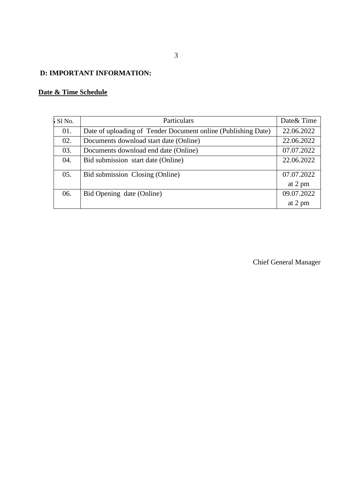## **D: IMPORTANT INFORMATION:**

## **Date & Time Schedule**

| $\overline{\phantom{a}}$ Sl No. | Particulars                                                   | Date & Time |
|---------------------------------|---------------------------------------------------------------|-------------|
| 01.                             | Date of uploading of Tender Document online (Publishing Date) | 22.06.2022  |
| 02.                             | Documents download start date (Online)                        | 22.06.2022  |
| 03.                             | Documents download end date (Online)                          | 07.07.2022  |
| 04.                             | Bid submission start date (Online)                            | 22.06.2022  |
| 05.                             | Bid submission Closing (Online)                               | 07.07.2022  |
|                                 |                                                               | at 2 pm     |
| 06.                             | Bid Opening date (Online)                                     | 09.07.2022  |
|                                 |                                                               | at 2 pm     |

Chief General Manager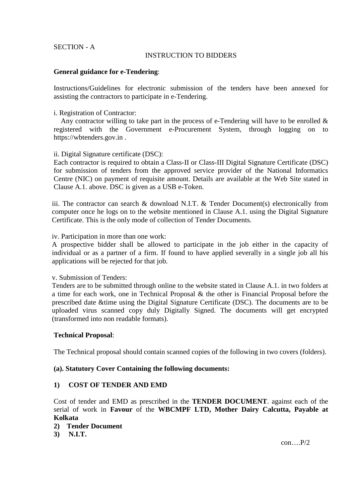#### SECTION - A

#### INSTRUCTION TO BIDDERS

#### **General guidance for e-Tendering**:

Instructions/Guidelines for electronic submission of the tenders have been annexed for assisting the contractors to participate in e-Tendering.

#### i. Registration of Contractor:

Any contractor willing to take part in the process of e-Tendering will have to be enrolled  $\&$ registered with the Government e-Procurement System, through logging on to https://wbtenders.gov.in .

#### ii. Digital Signature certificate (DSC):

Each contractor is required to obtain a Class-II or Class-III Digital Signature Certificate (DSC) for submission of tenders from the approved service provider of the National Informatics Centre (NIC) on payment of requisite amount. Details are available at the Web Site stated in Clause A.1. above. DSC is given as a USB e-Token.

iii. The contractor can search & download N.I.T. & Tender Document(s) electronically from computer once he logs on to the website mentioned in Clause A.1. using the Digital Signature Certificate. This is the only mode of collection of Tender Documents.

iv. Participation in more than one work:

A prospective bidder shall be allowed to participate in the job either in the capacity of individual or as a partner of a firm. If found to have applied severally in a single job all his applications will be rejected for that job.

v. Submission of Tenders:

Tenders are to be submitted through online to the website stated in Clause A.1. in two folders at a time for each work, one in Technical Proposal & the other is Financial Proposal before the prescribed date &time using the Digital Signature Certificate (DSC). The documents are to be uploaded virus scanned copy duly Digitally Signed. The documents will get encrypted (transformed into non readable formats).

#### **Technical Proposal**:

The Technical proposal should contain scanned copies of the following in two covers (folders).

#### **(a). Statutory Cover Containing the following documents:**

#### **1) COST OF TENDER AND EMD**

Cost of tender and EMD as prescribed in the **TENDER DOCUMENT**. against each of the serial of work in **Favour** of the **WBCMPF LTD, Mother Dairy Calcutta, Payable at Kolkata**

#### **2) Tender Document**

**3) N.I.T.** 

 $con...P/2$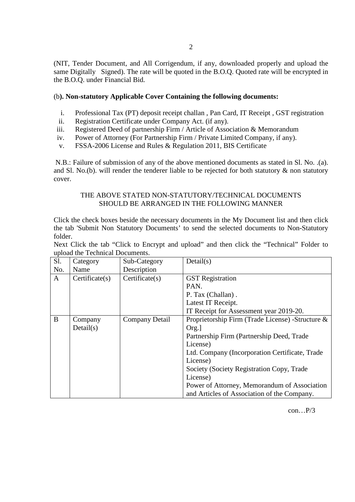(NIT, Tender Document, and All Corrigendum, if any, downloaded properly and upload the same Digitally Signed). The rate will be quoted in the B.O.Q. Quoted rate will be encrypted in the B.O.Q. under Financial Bid.

#### (b**). Non-statutory Applicable Cover Containing the following documents:**

- i. Professional Tax (PT) deposit receipt challan , Pan Card, IT Receipt , GST registration
- ii. Registration Certificate under Company Act. (if any).
- iii. Registered Deed of partnership Firm / Article of Association & Memorandum
- iv. Power of Attorney (For Partnership Firm / Private Limited Company, if any).
- v. FSSA-2006 License and Rules & Regulation 2011, BIS Certificate

 N.B.: Failure of submission of any of the above mentioned documents as stated in Sl. No. .(a). and Sl. No.(b). will render the tenderer liable to be rejected for both statutory  $\&$  non statutory cover.

#### THE ABOVE STATED NON-STATUTORY/TECHNICAL DOCUMENTS SHOULD BE ARRANGED IN THE FOLLOWING MANNER

Click the check boxes beside the necessary documents in the My Document list and then click the tab 'Submit Non Statutory Documents' to send the selected documents to Non-Statutory folder.

| Next Click the tab "Click to Encrypt and upload" and then click the "Technical" Folder to |  |  |  |  |  |  |  |  |  |  |  |
|-------------------------------------------------------------------------------------------|--|--|--|--|--|--|--|--|--|--|--|
| upload the Technical Documents.                                                           |  |  |  |  |  |  |  |  |  |  |  |

| S1. | Category                           | Sub-Category   | Details(s)                                        |  |  |  |  |
|-----|------------------------------------|----------------|---------------------------------------------------|--|--|--|--|
| No. | Name                               | Description    |                                                   |  |  |  |  |
| A   | Certificeate(s)<br>Certificeate(s) |                | <b>GST</b> Registration                           |  |  |  |  |
|     |                                    |                | PAN.                                              |  |  |  |  |
|     |                                    |                | P. Tax (Challan).                                 |  |  |  |  |
|     |                                    |                | Latest IT Receipt.                                |  |  |  |  |
|     |                                    |                | IT Receipt for Assessment year 2019-20.           |  |  |  |  |
| B   | Company                            | Company Detail | Proprietorship Firm (Trade License) - Structure & |  |  |  |  |
|     | Details)                           |                | Org.                                              |  |  |  |  |
|     |                                    |                | Partnership Firm (Partnership Deed, Trade         |  |  |  |  |
|     |                                    |                | License)                                          |  |  |  |  |
|     |                                    |                | Ltd. Company (Incorporation Certificate, Trade    |  |  |  |  |
|     |                                    |                | License)                                          |  |  |  |  |
|     |                                    |                | Society (Society Registration Copy, Trade         |  |  |  |  |
|     |                                    |                | License)                                          |  |  |  |  |
|     |                                    |                | Power of Attorney, Memorandum of Association      |  |  |  |  |
|     |                                    |                | and Articles of Association of the Company.       |  |  |  |  |